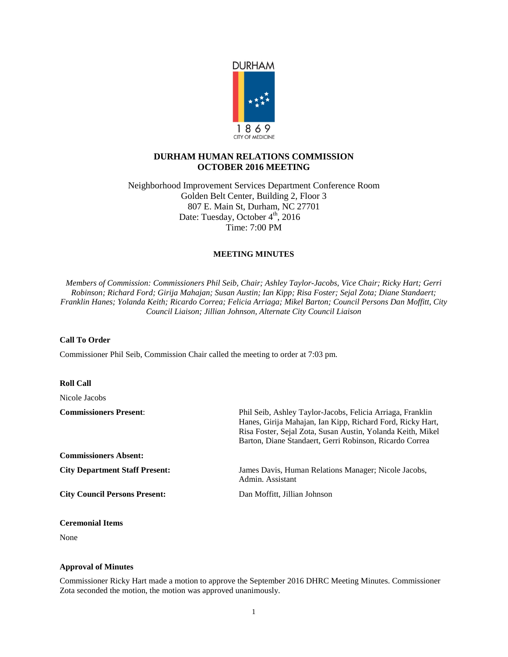

# **DURHAM HUMAN RELATIONS COMMISSION OCTOBER 2016 MEETING**

Neighborhood Improvement Services Department Conference Room Golden Belt Center, Building 2, Floor 3 807 E. Main St, Durham, NC 27701 Date: Tuesday, October 4<sup>th</sup>, 2016 Time: 7:00 PM

## **MEETING MINUTES**

*Members of Commission: Commissioners Phil Seib, Chair; Ashley Taylor-Jacobs, Vice Chair; Ricky Hart; Gerri Robinson; Richard Ford; Girija Mahajan; Susan Austin; Ian Kipp; Risa Foster; Sejal Zota; Diane Standaert; Franklin Hanes; Yolanda Keith; Ricardo Correa; Felicia Arriaga; Mikel Barton; Council Persons Dan Moffitt, City Council Liaison; Jillian Johnson, Alternate City Council Liaison*

### **Call To Order**

Commissioner Phil Seib, Commission Chair called the meeting to order at 7:03 pm.

### **Roll Call**

Nicole Jacobs

| <b>Commissioners Present:</b>         | Phil Seib, Ashley Taylor-Jacobs, Felicia Arriaga, Franklin<br>Hanes, Girija Mahajan, Ian Kipp, Richard Ford, Ricky Hart,<br>Risa Foster, Sejal Zota, Susan Austin, Yolanda Keith, Mikel<br>Barton, Diane Standaert, Gerri Robinson, Ricardo Correa |
|---------------------------------------|----------------------------------------------------------------------------------------------------------------------------------------------------------------------------------------------------------------------------------------------------|
| <b>Commissioners Absent:</b>          |                                                                                                                                                                                                                                                    |
| <b>City Department Staff Present:</b> | James Davis, Human Relations Manager; Nicole Jacobs,<br>Admin. Assistant                                                                                                                                                                           |
| <b>City Council Persons Present:</b>  | Dan Moffitt, Jillian Johnson                                                                                                                                                                                                                       |

### **Ceremonial Items**

None

### **Approval of Minutes**

Commissioner Ricky Hart made a motion to approve the September 2016 DHRC Meeting Minutes. Commissioner Zota seconded the motion, the motion was approved unanimously.